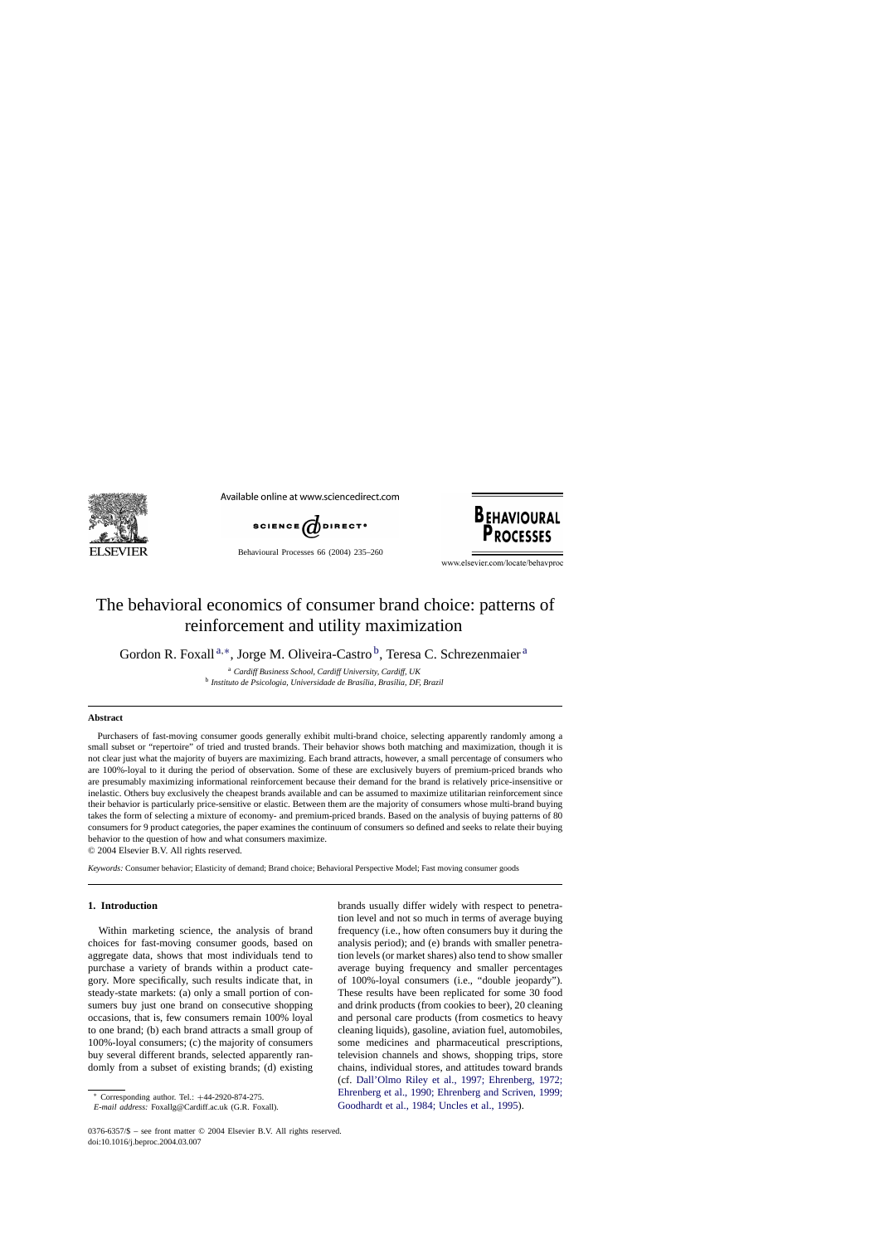

Available online at www.sciencedirect.com



Behavioural Processes 66 (2004) 235–260



www.elsevier.com/locate/behavproc

# The behavioral economics of consumer brand choice: patterns of reinforcement and utility maximization

Gordon R. Foxall<sup>a,\*</sup>, Jorge M. Oliveira-Castro<sup>b</sup>, Teresa C. Schrezenmaier<sup>a</sup>

<sup>a</sup> *Cardiff Business School, Cardiff University, Cardiff, UK* <sup>b</sup> Instituto de Psicologia, Universidade de Brasília, Brasília, DF, Brazil

#### **Abstract**

Purchasers of fast-moving consumer goods generally exhibit multi-brand choice, selecting apparently randomly among a small subset or "repertoire" of tried and trusted brands. Their behavior shows both matching and maximization, though it is not clear just what the majority of buyers are maximizing. Each brand attracts, however, a small percentage of consumers who are 100%-loyal to it during the period of observation. Some of these are exclusively buyers of premium-priced brands who are presumably maximizing informational reinforcement because their demand for the brand is relatively price-insensitive or inelastic. Others buy exclusively the cheapest brands available and can be assumed to maximize utilitarian reinforcement since their behavior is particularly price-sensitive or elastic. Between them are the majority of consumers whose multi-brand buying takes the form of selecting a mixture of economy- and premium-priced brands. Based on the analysis of buying patterns of 80 consumers for 9 product categories, the paper examines the continuum of consumers so defined and seeks to relate their buying behavior to the question of how and what consumers maximize.

© 2004 Elsevier B.V. All rights reserved.

*Keywords:* Consumer behavior; Elasticity of demand; Brand choice; Behavioral Perspective Model; Fast moving consumer goods

### **1. Introduction**

Within marketing science, the analysis of brand choices for fast-moving consumer goods, based on aggregate data, shows that most individuals tend to purchase a variety of brands within a product category. More specifically, such results indicate that, in steady-state markets: (a) only a small portion of consumers buy just one brand on consecutive shopping occasions, that is, few consumers remain 100% loyal to one brand; (b) each brand attracts a small group of 100%-loyal consumers; (c) the majority of consumers buy several different brands, selected apparently randomly from a subset of existing brands; (d) existing

brands usually differ widely with respect to penetration level and not so much in terms of average buying frequency (i.e., how often consumers buy it during the analysis period); and (e) brands with smaller penetration levels (or market shares) also tend to show smaller average buying frequency and smaller percentages of 100%-loyal consumers (i.e., "double jeopardy"). These results have been replicated for some 30 food and drink products (from cookies to beer), 20 cleaning and personal care products (from cosmetics to heavy cleaning liquids), gasoline, aviation fuel, automobiles, some medicines and pharmaceutical prescriptions, television channels and shows, shopping trips, store chains, individual stores, and attitudes toward brands (cf. [Dall'Olmo Riley et al., 1997; Ehrenberg, 1972;](#page--1-0) [Ehrenberg et al., 1990; Ehrenberg and Scriven, 1999;](#page--1-0) [Goodhardt et al., 1984; Uncles et al., 1995\).](#page--1-0)

<sup>∗</sup> Corresponding author. Tel.: +44-2920-874-275.

*E-mail address:* Foxallg@Cardiff.ac.uk (G.R. Foxall).

<sup>0376-6357/\$ –</sup> see front matter © 2004 Elsevier B.V. All rights reserved. doi:10.1016/j.beproc.2004.03.007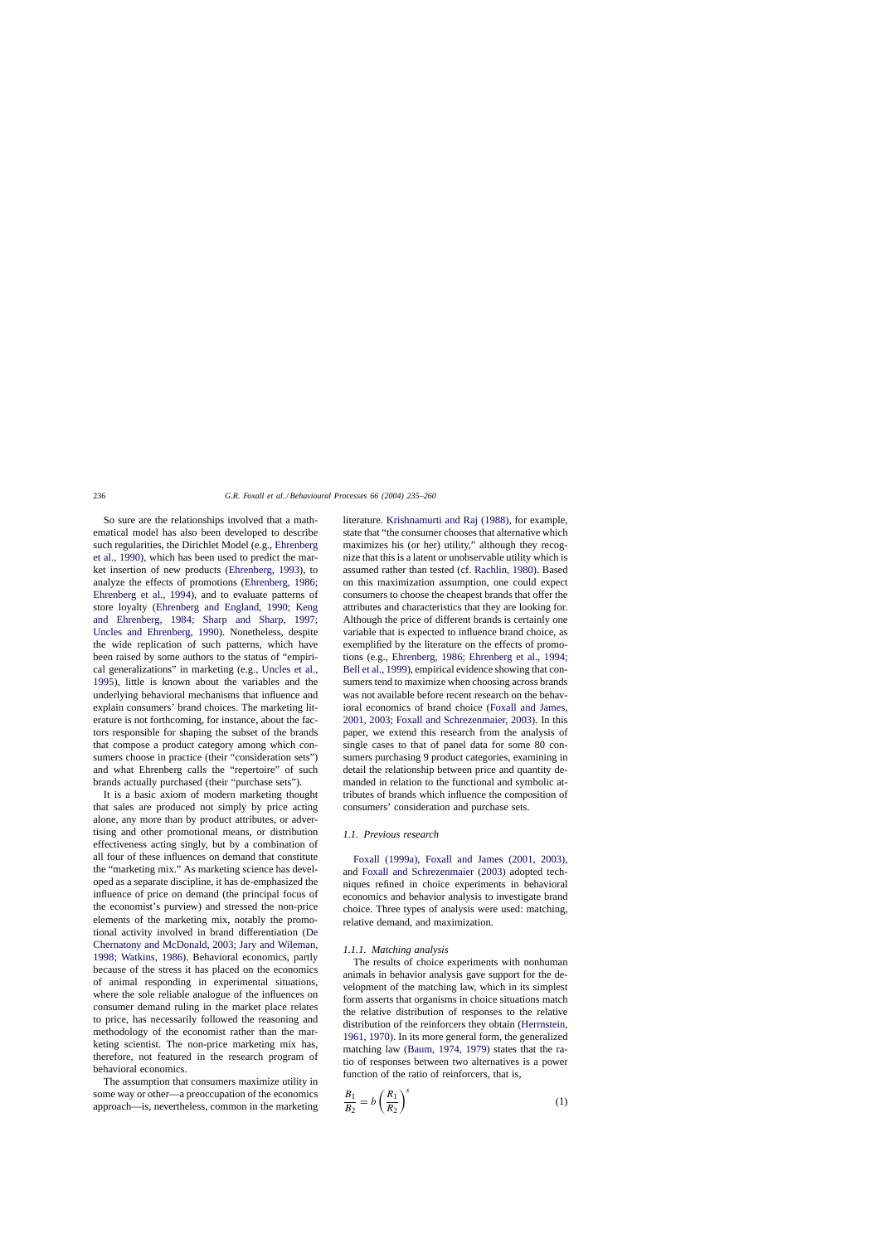So sure are the relationships involved that a mathematical model has also been developed to describe such regularities, the Dirichlet Model (e.g., [Ehrenberg](#page--1-0) [et al., 1990\),](#page--1-0) which has been used to predict the market insertion of new products ([Ehrenberg, 1993\),](#page--1-0) to analyze the effects of promotions [\(Ehrenberg, 1986;](#page--1-0) [Ehrenberg et al., 1994\)](#page--1-0), and to evaluate patterns of store loyalty [\(Ehrenberg and England, 1990; Keng](#page--1-0) [and Ehrenberg, 1984; Sharp and Sharp, 1997;](#page--1-0) [Uncles and Ehrenberg, 1990](#page--1-0)). Nonetheless, despite the wide replication of such patterns, which have been raised by some authors to the status of "empirical generalizations" in marketing (e.g., [Uncles et al.,](#page--1-0) [1995\),](#page--1-0) little is known about the variables and the underlying behavioral mechanisms that influence and explain consumers' brand choices. The marketing literature is not forthcoming, for instance, about the factors responsible for shaping the subset of the brands that compose a product category among which consumers choose in practice (their "consideration sets") and what Ehrenberg calls the "repertoire" of such brands actually purchased (their "purchase sets").

It is a basic axiom of modern marketing thought that sales are produced not simply by price acting alone, any more than by product attributes, or advertising and other promotional means, or distribution effectiveness acting singly, but by a combination of all four of these influences on demand that constitute the "marketing mix." As marketing science has developed as a separate discipline, it has de-emphasized the influence of price on demand (the principal focus of the economist's purview) and stressed the non-price elements of the marketing mix, notably the promotional activity involved in brand differentiation ([De](#page--1-0) [Chernatony and McDonald, 2003; Jary and Wileman,](#page--1-0) [1998; Watkins, 1986\)](#page--1-0). Behavioral economics, partly because of the stress it has placed on the economics of animal responding in experimental situations, where the sole reliable analogue of the influences on consumer demand ruling in the market place relates to price, has necessarily followed the reasoning and methodology of the economist rather than the marketing scientist. The non-price marketing mix has, therefore, not featured in the research program of behavioral economics.

The assumption that consumers maximize utility in some way or other—a preoccupation of the economics approach—is, nevertheless, common in the marketing literature. [Krishnamurti and Raj \(1988\),](#page--1-0) for example, state that "the consumer chooses that alternative which maximizes his (or her) utility," although they recognize that this is a latent or unobservable utility which is assumed rather than tested (cf. [Rachlin, 1980\).](#page--1-0) Based on this maximization assumption, one could expect consumers to choose the cheapest brands that offer the attributes and characteristics that they are looking for. Although the price of different brands is certainly one variable that is expected to influence brand choice, as exemplified by the literature on the effects of promotions (e.g., [Ehrenberg, 1986; Ehrenberg et al., 1994;](#page--1-0) [Bell et al., 1999\), e](#page--1-0)mpirical evidence showing that consumers tend to maximize when choosing across brands was not available before recent research on the behavioral economics of brand choice [\(Foxall and James,](#page--1-0) [2001, 2003; Foxall and Schrezenmaier, 2003\).](#page--1-0) In this paper, we extend this research from the analysis of single cases to that of panel data for some 80 consumers purchasing 9 product categories, examining in detail the relationship between price and quantity demanded in relation to the functional and symbolic attributes of brands which influence the composition of consumers' consideration and purchase sets.

### *1.1. Previous research*

[Foxall \(1999a\),](#page--1-0) [Foxall and James \(2001, 2003](#page--1-0)), and [Foxall and Schrezenmaier \(2003\)](#page--1-0) adopted techniques refined in choice experiments in behavioral economics and behavior analysis to investigate brand choice. Three types of analysis were used: matching, relative demand, and maximization.

### *1.1.1. Matching analysis*

The results of choice experiments with nonhuman animals in behavior analysis gave support for the development of the matching law, which in its simplest form asserts that organisms in choice situations match the relative distribution of responses to the relative distribution of the reinforcers they obtain [\(Herrnstein,](#page--1-0) [1961, 1970\).](#page--1-0) In its more general form, the generalized matching law [\(Baum, 1974, 1979\)](#page--1-0) states that the ratio of responses between two alternatives is a power function of the ratio of reinforcers, that is,

$$
\frac{B_1}{B_2} = b \left(\frac{R_1}{R_2}\right)^s \tag{1}
$$